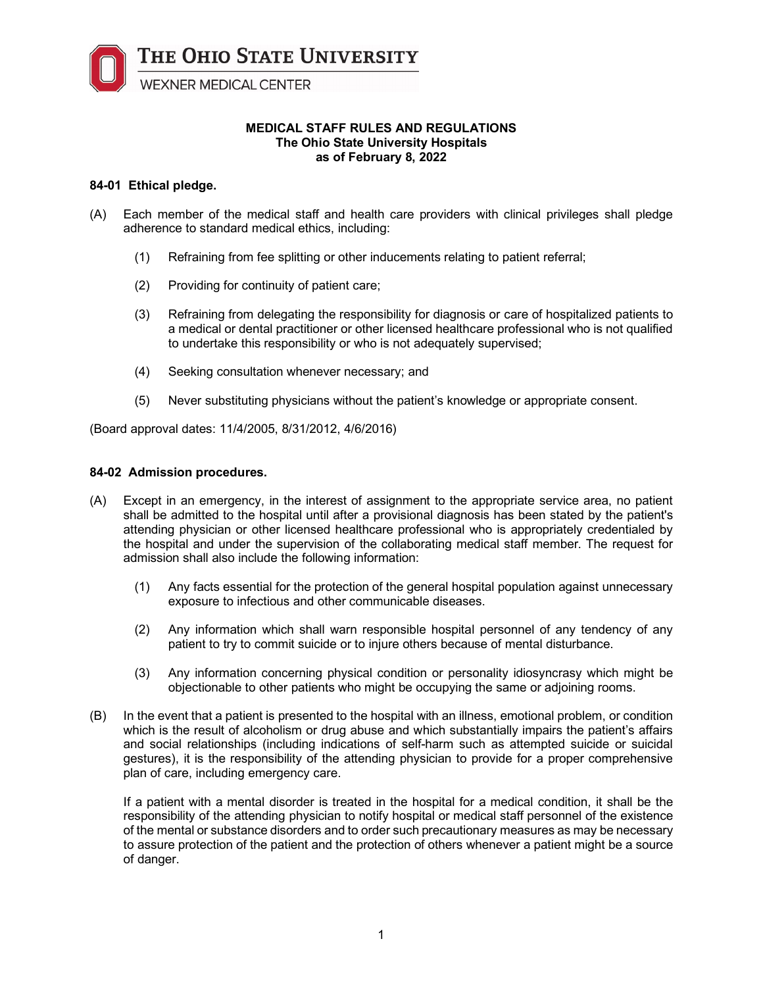THE OHIO STATE UNIVERSITY

**WEXNER MEDICAL CENTER** 

#### **MEDICAL STAFF RULES AND REGULATIONS The Ohio State University Hospitals as of February 8, 2022**

# **84-01 Ethical pledge.**

- (A) Each member of the medical staff and health care providers with clinical privileges shall pledge adherence to standard medical ethics, including:
	- (1) Refraining from fee splitting or other inducements relating to patient referral;
	- (2) Providing for continuity of patient care;
	- (3) Refraining from delegating the responsibility for diagnosis or care of hospitalized patients to a medical or dental practitioner or other licensed healthcare professional who is not qualified to undertake this responsibility or who is not adequately supervised;
	- (4) Seeking consultation whenever necessary; and
	- (5) Never substituting physicians without the patient's knowledge or appropriate consent.

(Board approval dates: 11/4/2005, 8/31/2012, 4/6/2016)

# **84-02 Admission procedures.**

- (A) Except in an emergency, in the interest of assignment to the appropriate service area, no patient shall be admitted to the hospital until after a provisional diagnosis has been stated by the patient's attending physician or other licensed healthcare professional who is appropriately credentialed by the hospital and under the supervision of the collaborating medical staff member. The request for admission shall also include the following information:
	- (1) Any facts essential for the protection of the general hospital population against unnecessary exposure to infectious and other communicable diseases.
	- (2) Any information which shall warn responsible hospital personnel of any tendency of any patient to try to commit suicide or to injure others because of mental disturbance.
	- (3) Any information concerning physical condition or personality idiosyncrasy which might be objectionable to other patients who might be occupying the same or adjoining rooms.
- (B) In the event that a patient is presented to the hospital with an illness, emotional problem, or condition which is the result of alcoholism or drug abuse and which substantially impairs the patient's affairs and social relationships (including indications of self-harm such as attempted suicide or suicidal gestures), it is the responsibility of the attending physician to provide for a proper comprehensive plan of care, including emergency care.

If a patient with a mental disorder is treated in the hospital for a medical condition, it shall be the responsibility of the attending physician to notify hospital or medical staff personnel of the existence of the mental or substance disorders and to order such precautionary measures as may be necessary to assure protection of the patient and the protection of others whenever a patient might be a source of danger.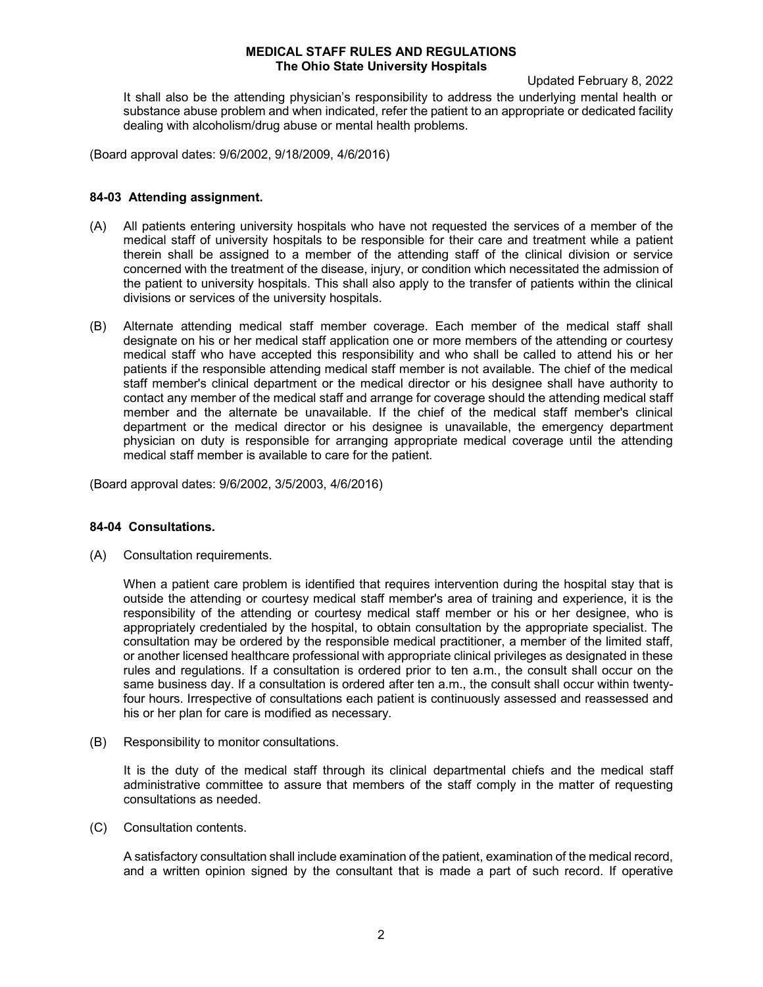Updated February 8, 2022

It shall also be the attending physician's responsibility to address the underlying mental health or substance abuse problem and when indicated, refer the patient to an appropriate or dedicated facility dealing with alcoholism/drug abuse or mental health problems.

(Board approval dates: 9/6/2002, 9/18/2009, 4/6/2016)

#### **84-03 Attending assignment.**

- (A) All patients entering university hospitals who have not requested the services of a member of the medical staff of university hospitals to be responsible for their care and treatment while a patient therein shall be assigned to a member of the attending staff of the clinical division or service concerned with the treatment of the disease, injury, or condition which necessitated the admission of the patient to university hospitals. This shall also apply to the transfer of patients within the clinical divisions or services of the university hospitals.
- (B) Alternate attending medical staff member coverage. Each member of the medical staff shall designate on his or her medical staff application one or more members of the attending or courtesy medical staff who have accepted this responsibility and who shall be called to attend his or her patients if the responsible attending medical staff member is not available. The chief of the medical staff member's clinical department or the medical director or his designee shall have authority to contact any member of the medical staff and arrange for coverage should the attending medical staff member and the alternate be unavailable. If the chief of the medical staff member's clinical department or the medical director or his designee is unavailable, the emergency department physician on duty is responsible for arranging appropriate medical coverage until the attending medical staff member is available to care for the patient.

(Board approval dates: 9/6/2002, 3/5/2003, 4/6/2016)

#### **84-04 Consultations.**

(A) Consultation requirements.

When a patient care problem is identified that requires intervention during the hospital stay that is outside the attending or courtesy medical staff member's area of training and experience, it is the responsibility of the attending or courtesy medical staff member or his or her designee, who is appropriately credentialed by the hospital, to obtain consultation by the appropriate specialist. The consultation may be ordered by the responsible medical practitioner, a member of the limited staff, or another licensed healthcare professional with appropriate clinical privileges as designated in these rules and regulations. If a consultation is ordered prior to ten a.m., the consult shall occur on the same business day. If a consultation is ordered after ten a.m., the consult shall occur within twentyfour hours. Irrespective of consultations each patient is continuously assessed and reassessed and his or her plan for care is modified as necessary.

(B) Responsibility to monitor consultations.

It is the duty of the medical staff through its clinical departmental chiefs and the medical staff administrative committee to assure that members of the staff comply in the matter of requesting consultations as needed.

(C) Consultation contents.

A satisfactory consultation shall include examination of the patient, examination of the medical record, and a written opinion signed by the consultant that is made a part of such record. If operative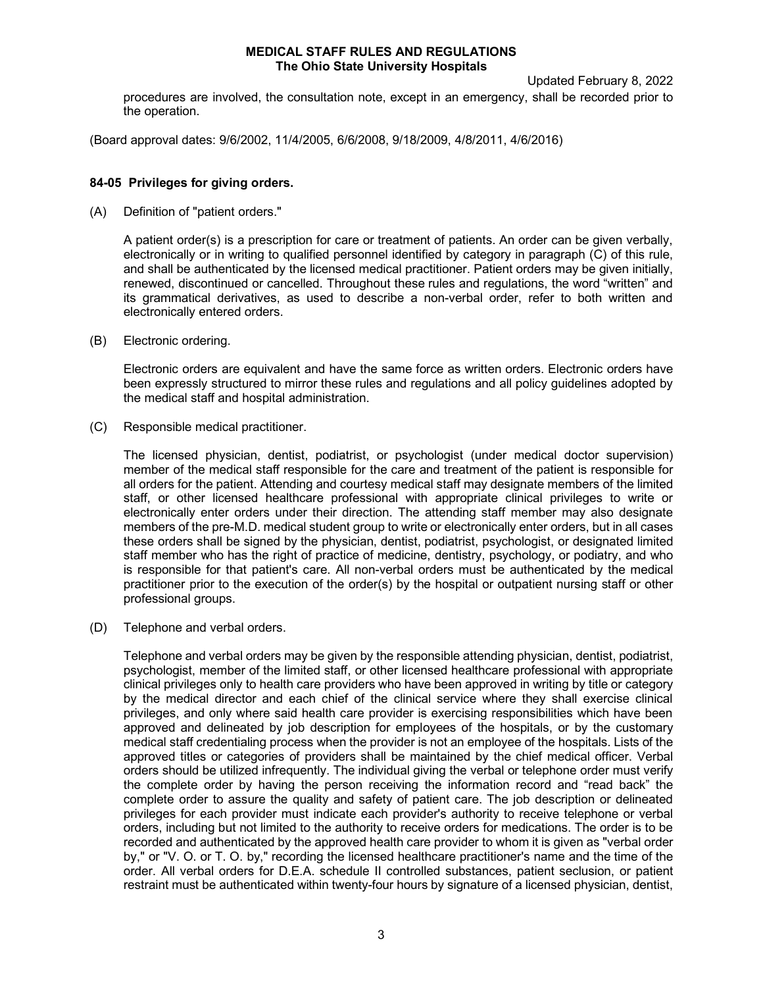procedures are involved, the consultation note, except in an emergency, shall be recorded prior to the operation.

(Board approval dates: 9/6/2002, 11/4/2005, 6/6/2008, 9/18/2009, 4/8/2011, 4/6/2016)

# **84-05 Privileges for giving orders.**

(A) Definition of "patient orders."

A patient order(s) is a prescription for care or treatment of patients. An order can be given verbally, electronically or in writing to qualified personnel identified by category in paragraph (C) of this rule, and shall be authenticated by the licensed medical practitioner. Patient orders may be given initially, renewed, discontinued or cancelled. Throughout these rules and regulations, the word "written" and its grammatical derivatives, as used to describe a non-verbal order, refer to both written and electronically entered orders.

(B) Electronic ordering.

Electronic orders are equivalent and have the same force as written orders. Electronic orders have been expressly structured to mirror these rules and regulations and all policy guidelines adopted by the medical staff and hospital administration.

(C) Responsible medical practitioner.

The licensed physician, dentist, podiatrist, or psychologist (under medical doctor supervision) member of the medical staff responsible for the care and treatment of the patient is responsible for all orders for the patient. Attending and courtesy medical staff may designate members of the limited staff, or other licensed healthcare professional with appropriate clinical privileges to write or electronically enter orders under their direction. The attending staff member may also designate members of the pre-M.D. medical student group to write or electronically enter orders, but in all cases these orders shall be signed by the physician, dentist, podiatrist, psychologist, or designated limited staff member who has the right of practice of medicine, dentistry, psychology, or podiatry, and who is responsible for that patient's care. All non-verbal orders must be authenticated by the medical practitioner prior to the execution of the order(s) by the hospital or outpatient nursing staff or other professional groups.

(D) Telephone and verbal orders.

Telephone and verbal orders may be given by the responsible attending physician, dentist, podiatrist, psychologist, member of the limited staff, or other licensed healthcare professional with appropriate clinical privileges only to health care providers who have been approved in writing by title or category by the medical director and each chief of the clinical service where they shall exercise clinical privileges, and only where said health care provider is exercising responsibilities which have been approved and delineated by job description for employees of the hospitals, or by the customary medical staff credentialing process when the provider is not an employee of the hospitals. Lists of the approved titles or categories of providers shall be maintained by the chief medical officer. Verbal orders should be utilized infrequently. The individual giving the verbal or telephone order must verify the complete order by having the person receiving the information record and "read back" the complete order to assure the quality and safety of patient care. The job description or delineated privileges for each provider must indicate each provider's authority to receive telephone or verbal orders, including but not limited to the authority to receive orders for medications. The order is to be recorded and authenticated by the approved health care provider to whom it is given as "verbal order by," or "V. O. or T. O. by," recording the licensed healthcare practitioner's name and the time of the order. All verbal orders for D.E.A. schedule II controlled substances, patient seclusion, or patient restraint must be authenticated within twenty-four hours by signature of a licensed physician, dentist,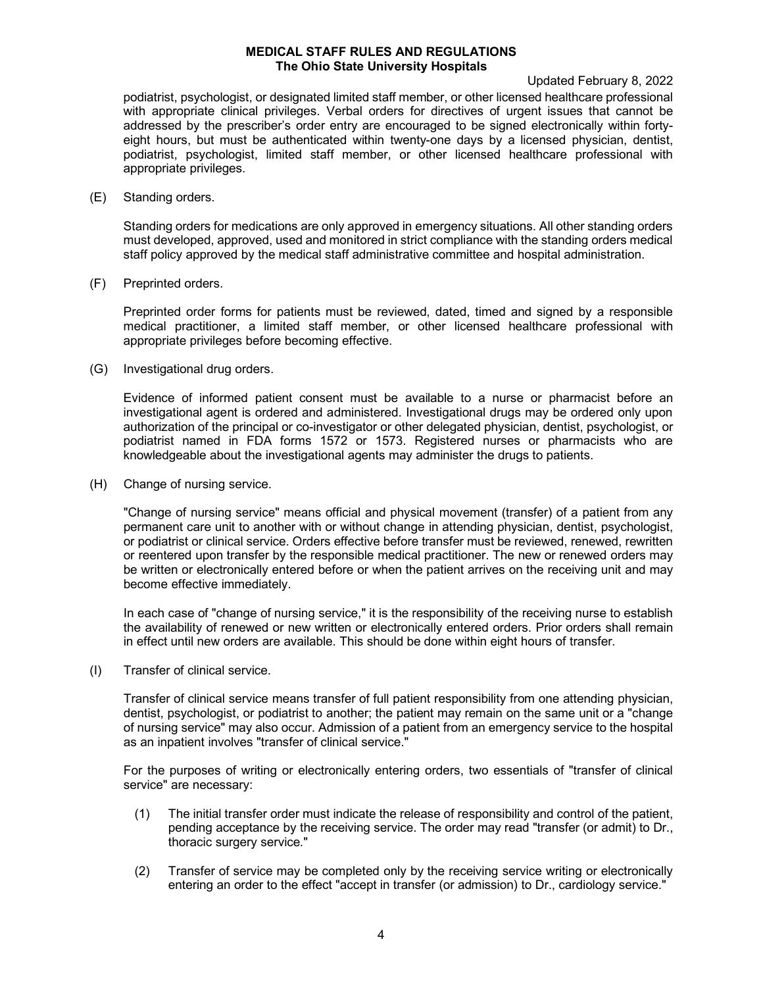Updated February 8, 2022

podiatrist, psychologist, or designated limited staff member, or other licensed healthcare professional with appropriate clinical privileges. Verbal orders for directives of urgent issues that cannot be addressed by the prescriber's order entry are encouraged to be signed electronically within fortyeight hours, but must be authenticated within twenty-one days by a licensed physician, dentist, podiatrist, psychologist, limited staff member, or other licensed healthcare professional with appropriate privileges.

(E) Standing orders.

Standing orders for medications are only approved in emergency situations. All other standing orders must developed, approved, used and monitored in strict compliance with the standing orders medical staff policy approved by the medical staff administrative committee and hospital administration.

(F) Preprinted orders.

Preprinted order forms for patients must be reviewed, dated, timed and signed by a responsible medical practitioner, a limited staff member, or other licensed healthcare professional with appropriate privileges before becoming effective.

(G) Investigational drug orders.

Evidence of informed patient consent must be available to a nurse or pharmacist before an investigational agent is ordered and administered. Investigational drugs may be ordered only upon authorization of the principal or co-investigator or other delegated physician, dentist, psychologist, or podiatrist named in FDA forms 1572 or 1573. Registered nurses or pharmacists who are knowledgeable about the investigational agents may administer the drugs to patients.

(H) Change of nursing service.

"Change of nursing service" means official and physical movement (transfer) of a patient from any permanent care unit to another with or without change in attending physician, dentist, psychologist, or podiatrist or clinical service. Orders effective before transfer must be reviewed, renewed, rewritten or reentered upon transfer by the responsible medical practitioner. The new or renewed orders may be written or electronically entered before or when the patient arrives on the receiving unit and may become effective immediately.

In each case of "change of nursing service," it is the responsibility of the receiving nurse to establish the availability of renewed or new written or electronically entered orders. Prior orders shall remain in effect until new orders are available. This should be done within eight hours of transfer.

(I) Transfer of clinical service.

Transfer of clinical service means transfer of full patient responsibility from one attending physician, dentist, psychologist, or podiatrist to another; the patient may remain on the same unit or a "change of nursing service" may also occur. Admission of a patient from an emergency service to the hospital as an inpatient involves "transfer of clinical service."

For the purposes of writing or electronically entering orders, two essentials of "transfer of clinical service" are necessary:

- (1) The initial transfer order must indicate the release of responsibility and control of the patient, pending acceptance by the receiving service. The order may read "transfer (or admit) to Dr., thoracic surgery service."
- (2) Transfer of service may be completed only by the receiving service writing or electronically entering an order to the effect "accept in transfer (or admission) to Dr., cardiology service."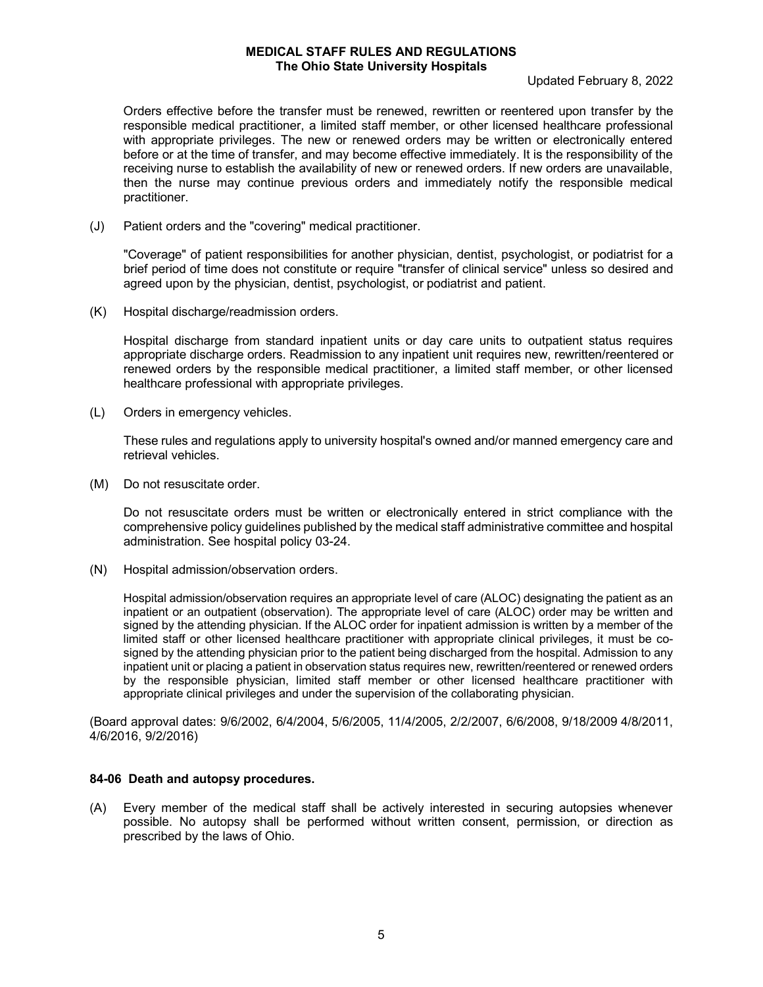Updated February 8, 2022

Orders effective before the transfer must be renewed, rewritten or reentered upon transfer by the responsible medical practitioner, a limited staff member, or other licensed healthcare professional with appropriate privileges. The new or renewed orders may be written or electronically entered before or at the time of transfer, and may become effective immediately. It is the responsibility of the receiving nurse to establish the availability of new or renewed orders. If new orders are unavailable, then the nurse may continue previous orders and immediately notify the responsible medical practitioner.

(J) Patient orders and the "covering" medical practitioner.

"Coverage" of patient responsibilities for another physician, dentist, psychologist, or podiatrist for a brief period of time does not constitute or require "transfer of clinical service" unless so desired and agreed upon by the physician, dentist, psychologist, or podiatrist and patient.

(K) Hospital discharge/readmission orders.

Hospital discharge from standard inpatient units or day care units to outpatient status requires appropriate discharge orders. Readmission to any inpatient unit requires new, rewritten/reentered or renewed orders by the responsible medical practitioner, a limited staff member, or other licensed healthcare professional with appropriate privileges.

(L) Orders in emergency vehicles.

These rules and regulations apply to university hospital's owned and/or manned emergency care and retrieval vehicles.

(M) Do not resuscitate order.

Do not resuscitate orders must be written or electronically entered in strict compliance with the comprehensive policy guidelines published by the medical staff administrative committee and hospital administration. See hospital policy 03-24.

(N) Hospital admission/observation orders.

Hospital admission/observation requires an appropriate level of care (ALOC) designating the patient as an inpatient or an outpatient (observation). The appropriate level of care (ALOC) order may be written and signed by the attending physician. If the ALOC order for inpatient admission is written by a member of the limited staff or other licensed healthcare practitioner with appropriate clinical privileges, it must be cosigned by the attending physician prior to the patient being discharged from the hospital. Admission to any inpatient unit or placing a patient in observation status requires new, rewritten/reentered or renewed orders by the responsible physician, limited staff member or other licensed healthcare practitioner with appropriate clinical privileges and under the supervision of the collaborating physician.

(Board approval dates: 9/6/2002, 6/4/2004, 5/6/2005, 11/4/2005, 2/2/2007, 6/6/2008, 9/18/2009 4/8/2011, 4/6/2016, 9/2/2016)

#### **84-06 Death and autopsy procedures.**

(A) Every member of the medical staff shall be actively interested in securing autopsies whenever possible. No autopsy shall be performed without written consent, permission, or direction as prescribed by the laws of Ohio.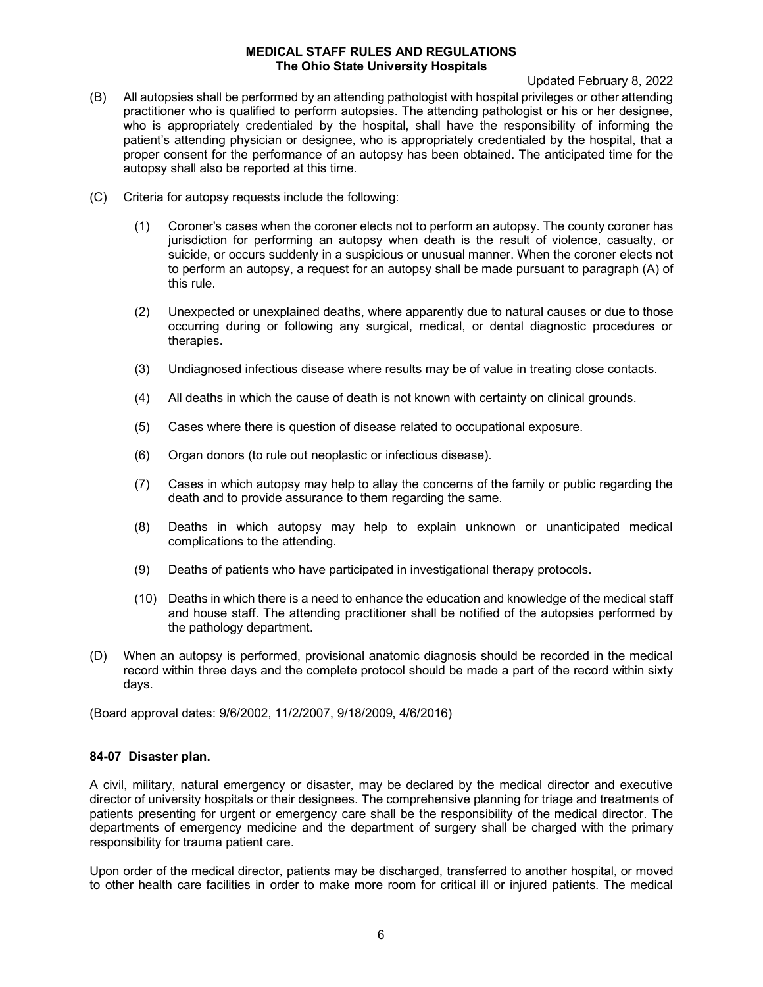Updated February 8, 2022

- (B) All autopsies shall be performed by an attending pathologist with hospital privileges or other attending practitioner who is qualified to perform autopsies. The attending pathologist or his or her designee, who is appropriately credentialed by the hospital, shall have the responsibility of informing the patient's attending physician or designee, who is appropriately credentialed by the hospital, that a proper consent for the performance of an autopsy has been obtained. The anticipated time for the autopsy shall also be reported at this time.
- (C) Criteria for autopsy requests include the following:
	- (1) Coroner's cases when the coroner elects not to perform an autopsy. The county coroner has jurisdiction for performing an autopsy when death is the result of violence, casualty, or suicide, or occurs suddenly in a suspicious or unusual manner. When the coroner elects not to perform an autopsy, a request for an autopsy shall be made pursuant to paragraph (A) of this rule.
	- (2) Unexpected or unexplained deaths, where apparently due to natural causes or due to those occurring during or following any surgical, medical, or dental diagnostic procedures or therapies.
	- (3) Undiagnosed infectious disease where results may be of value in treating close contacts.
	- (4) All deaths in which the cause of death is not known with certainty on clinical grounds.
	- (5) Cases where there is question of disease related to occupational exposure.
	- (6) Organ donors (to rule out neoplastic or infectious disease).
	- (7) Cases in which autopsy may help to allay the concerns of the family or public regarding the death and to provide assurance to them regarding the same.
	- (8) Deaths in which autopsy may help to explain unknown or unanticipated medical complications to the attending.
	- (9) Deaths of patients who have participated in investigational therapy protocols.
	- (10) Deaths in which there is a need to enhance the education and knowledge of the medical staff and house staff. The attending practitioner shall be notified of the autopsies performed by the pathology department.
- (D) When an autopsy is performed, provisional anatomic diagnosis should be recorded in the medical record within three days and the complete protocol should be made a part of the record within sixty days.

(Board approval dates: 9/6/2002, 11/2/2007, 9/18/2009, 4/6/2016)

### **84-07 Disaster plan.**

A civil, military, natural emergency or disaster, may be declared by the medical director and executive director of university hospitals or their designees. The comprehensive planning for triage and treatments of patients presenting for urgent or emergency care shall be the responsibility of the medical director. The departments of emergency medicine and the department of surgery shall be charged with the primary responsibility for trauma patient care.

Upon order of the medical director, patients may be discharged, transferred to another hospital, or moved to other health care facilities in order to make more room for critical ill or injured patients. The medical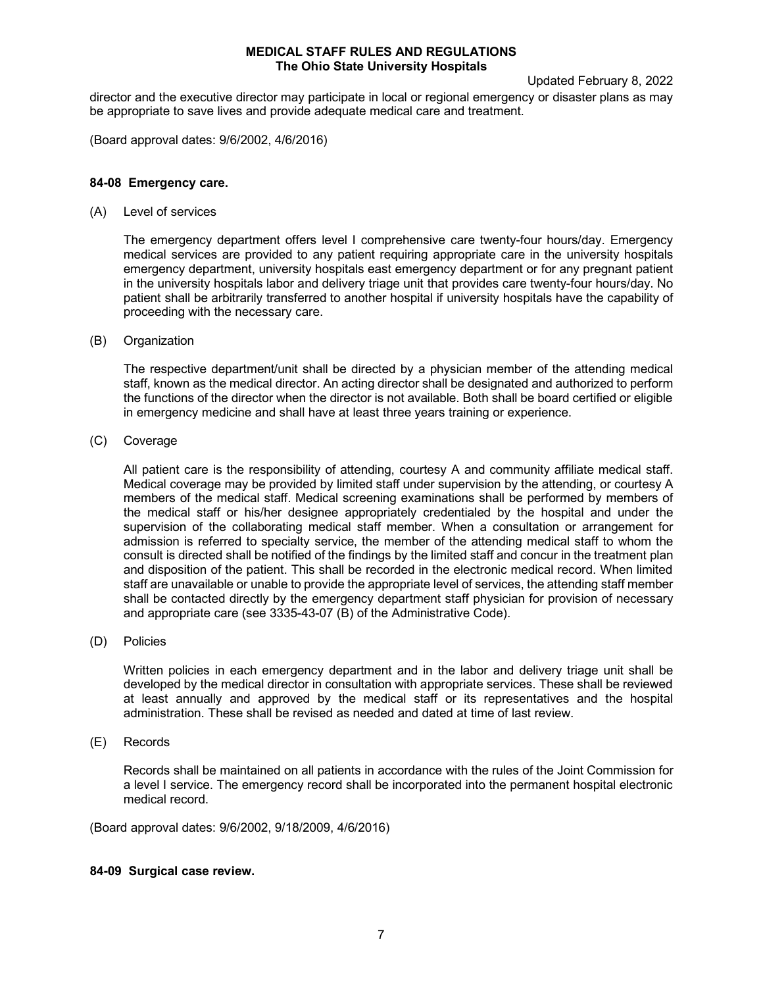Updated February 8, 2022

director and the executive director may participate in local or regional emergency or disaster plans as may be appropriate to save lives and provide adequate medical care and treatment.

(Board approval dates: 9/6/2002, 4/6/2016)

# **84-08 Emergency care.**

(A) Level of services

The emergency department offers level I comprehensive care twenty-four hours/day. Emergency medical services are provided to any patient requiring appropriate care in the university hospitals emergency department, university hospitals east emergency department or for any pregnant patient in the university hospitals labor and delivery triage unit that provides care twenty-four hours/day. No patient shall be arbitrarily transferred to another hospital if university hospitals have the capability of proceeding with the necessary care.

(B) Organization

The respective department/unit shall be directed by a physician member of the attending medical staff, known as the medical director. An acting director shall be designated and authorized to perform the functions of the director when the director is not available. Both shall be board certified or eligible in emergency medicine and shall have at least three years training or experience.

(C) Coverage

All patient care is the responsibility of attending, courtesy A and community affiliate medical staff. Medical coverage may be provided by limited staff under supervision by the attending, or courtesy A members of the medical staff. Medical screening examinations shall be performed by members of the medical staff or his/her designee appropriately credentialed by the hospital and under the supervision of the collaborating medical staff member. When a consultation or arrangement for admission is referred to specialty service, the member of the attending medical staff to whom the consult is directed shall be notified of the findings by the limited staff and concur in the treatment plan and disposition of the patient. This shall be recorded in the electronic medical record. When limited staff are unavailable or unable to provide the appropriate level of services, the attending staff member shall be contacted directly by the emergency department staff physician for provision of necessary and appropriate care (see 3335-43-07 (B) of the Administrative Code).

(D) Policies

Written policies in each emergency department and in the labor and delivery triage unit shall be developed by the medical director in consultation with appropriate services. These shall be reviewed at least annually and approved by the medical staff or its representatives and the hospital administration. These shall be revised as needed and dated at time of last review.

(E) Records

Records shall be maintained on all patients in accordance with the rules of the Joint Commission for a level I service. The emergency record shall be incorporated into the permanent hospital electronic medical record.

(Board approval dates: 9/6/2002, 9/18/2009, 4/6/2016)

### **84-09 Surgical case review.**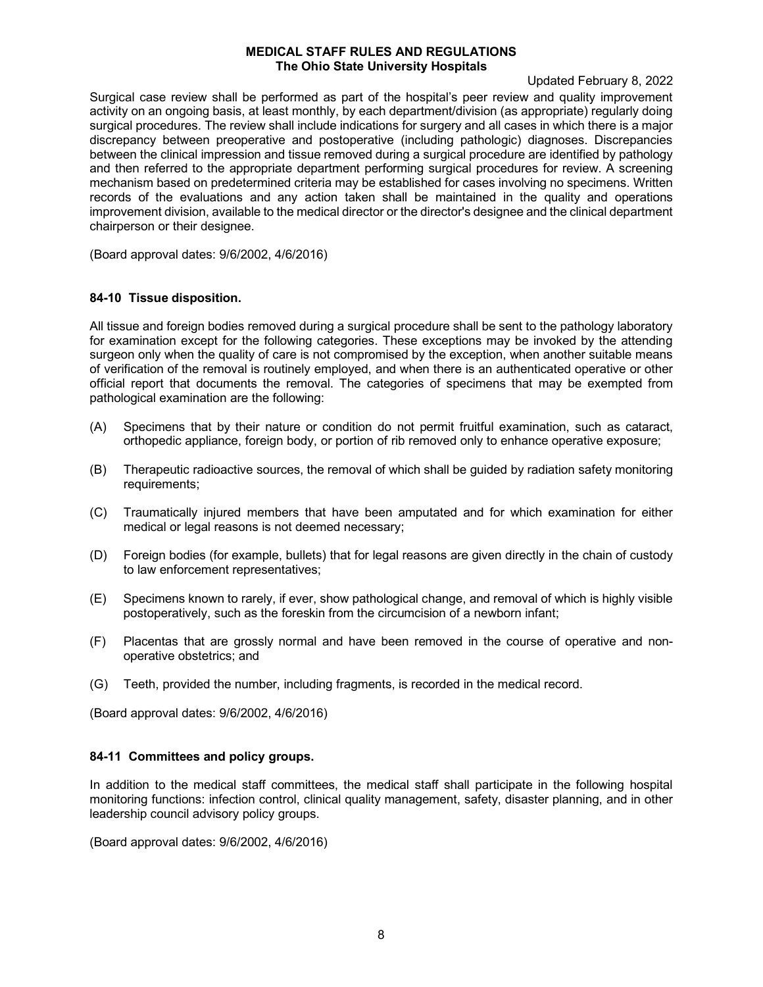Updated February 8, 2022

Surgical case review shall be performed as part of the hospital's peer review and quality improvement activity on an ongoing basis, at least monthly, by each department/division (as appropriate) regularly doing surgical procedures. The review shall include indications for surgery and all cases in which there is a major discrepancy between preoperative and postoperative (including pathologic) diagnoses. Discrepancies between the clinical impression and tissue removed during a surgical procedure are identified by pathology and then referred to the appropriate department performing surgical procedures for review. A screening mechanism based on predetermined criteria may be established for cases involving no specimens. Written records of the evaluations and any action taken shall be maintained in the quality and operations improvement division, available to the medical director or the director's designee and the clinical department chairperson or their designee.

(Board approval dates: 9/6/2002, 4/6/2016)

# **84-10 Tissue disposition.**

All tissue and foreign bodies removed during a surgical procedure shall be sent to the pathology laboratory for examination except for the following categories. These exceptions may be invoked by the attending surgeon only when the quality of care is not compromised by the exception, when another suitable means of verification of the removal is routinely employed, and when there is an authenticated operative or other official report that documents the removal. The categories of specimens that may be exempted from pathological examination are the following:

- (A) Specimens that by their nature or condition do not permit fruitful examination, such as cataract, orthopedic appliance, foreign body, or portion of rib removed only to enhance operative exposure;
- (B) Therapeutic radioactive sources, the removal of which shall be guided by radiation safety monitoring requirements;
- (C) Traumatically injured members that have been amputated and for which examination for either medical or legal reasons is not deemed necessary;
- (D) Foreign bodies (for example, bullets) that for legal reasons are given directly in the chain of custody to law enforcement representatives;
- (E) Specimens known to rarely, if ever, show pathological change, and removal of which is highly visible postoperatively, such as the foreskin from the circumcision of a newborn infant;
- (F) Placentas that are grossly normal and have been removed in the course of operative and nonoperative obstetrics; and
- (G) Teeth, provided the number, including fragments, is recorded in the medical record.

(Board approval dates: 9/6/2002, 4/6/2016)

### **84-11 Committees and policy groups.**

In addition to the medical staff committees, the medical staff shall participate in the following hospital monitoring functions: infection control, clinical quality management, safety, disaster planning, and in other leadership council advisory policy groups.

(Board approval dates: 9/6/2002, 4/6/2016)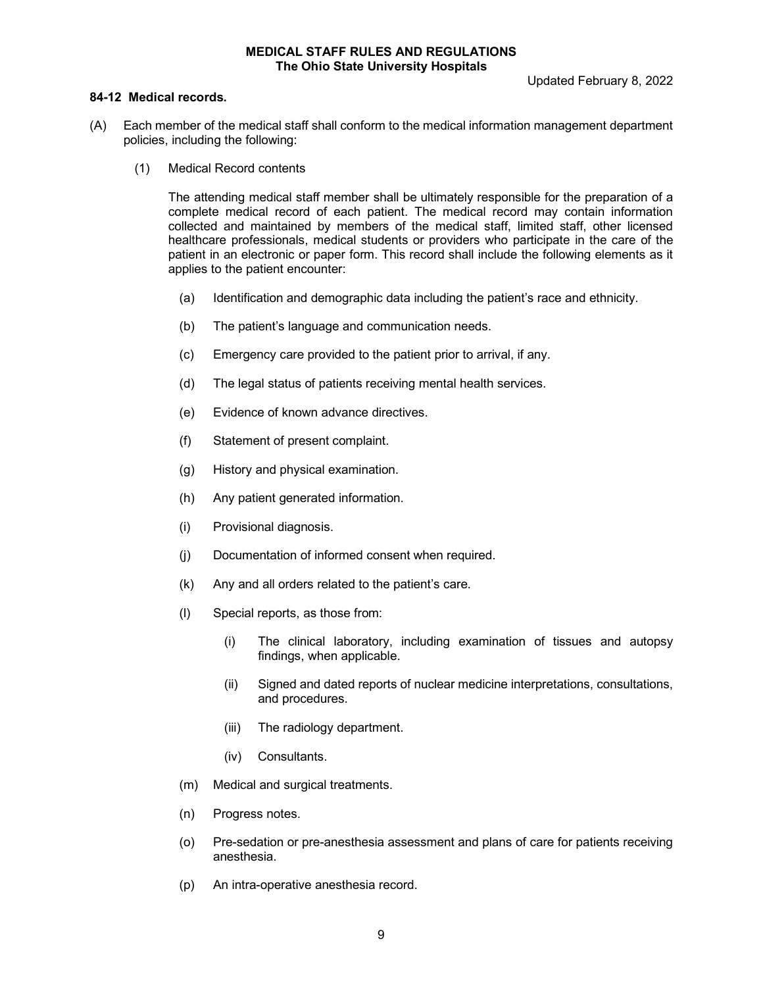### **84-12 Medical records.**

- (A) Each member of the medical staff shall conform to the medical information management department policies, including the following:
	- (1) Medical Record contents

The attending medical staff member shall be ultimately responsible for the preparation of a complete medical record of each patient. The medical record may contain information collected and maintained by members of the medical staff, limited staff, other licensed healthcare professionals, medical students or providers who participate in the care of the patient in an electronic or paper form. This record shall include the following elements as it applies to the patient encounter:

- (a) Identification and demographic data including the patient's race and ethnicity.
- (b) The patient's language and communication needs.
- (c) Emergency care provided to the patient prior to arrival, if any.
- (d) The legal status of patients receiving mental health services.
- (e) Evidence of known advance directives.
- (f) Statement of present complaint.
- (g) History and physical examination.
- (h) Any patient generated information.
- (i) Provisional diagnosis.
- (j) Documentation of informed consent when required.
- (k) Any and all orders related to the patient's care.
- (l) Special reports, as those from:
	- (i) The clinical laboratory, including examination of tissues and autopsy findings, when applicable.
	- (ii) Signed and dated reports of nuclear medicine interpretations, consultations, and procedures.
	- (iii) The radiology department.
	- (iv) Consultants.
- (m) Medical and surgical treatments.
- (n) Progress notes.
- (o) Pre-sedation or pre-anesthesia assessment and plans of care for patients receiving anesthesia.
- (p) An intra-operative anesthesia record.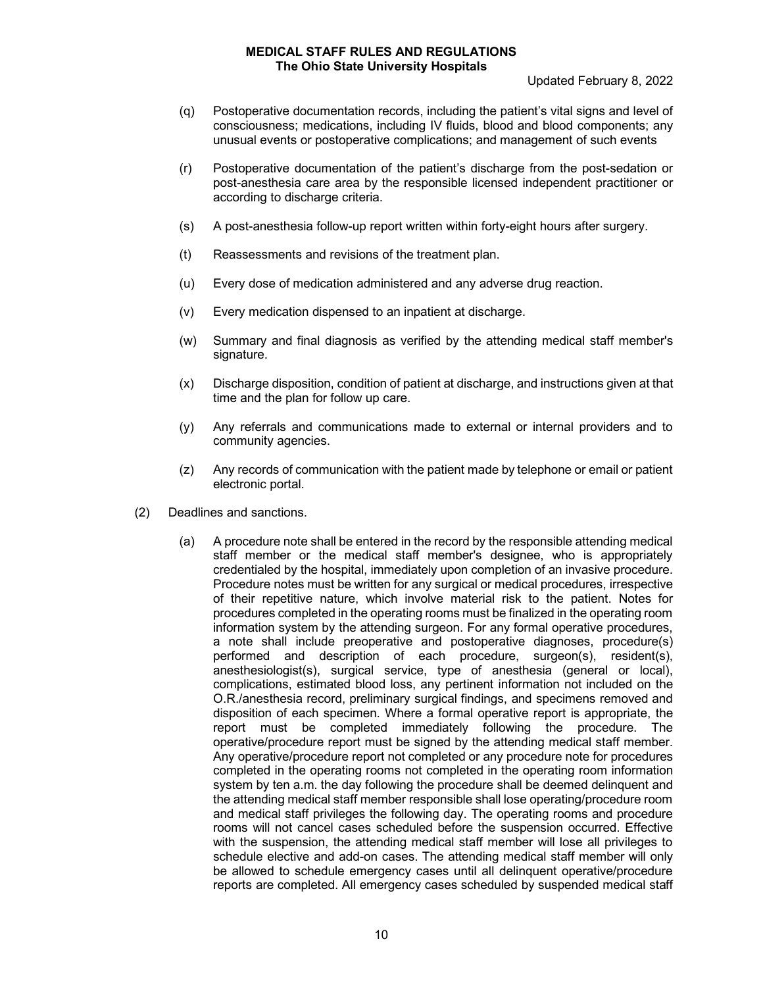Updated February 8, 2022

- (q) Postoperative documentation records, including the patient's vital signs and level of consciousness; medications, including IV fluids, blood and blood components; any unusual events or postoperative complications; and management of such events
- (r) Postoperative documentation of the patient's discharge from the post-sedation or post-anesthesia care area by the responsible licensed independent practitioner or according to discharge criteria.
- (s) A post-anesthesia follow-up report written within forty-eight hours after surgery.
- (t) Reassessments and revisions of the treatment plan.
- (u) Every dose of medication administered and any adverse drug reaction.
- (v) Every medication dispensed to an inpatient at discharge.
- (w) Summary and final diagnosis as verified by the attending medical staff member's signature.
- (x) Discharge disposition, condition of patient at discharge, and instructions given at that time and the plan for follow up care.
- (y) Any referrals and communications made to external or internal providers and to community agencies.
- (z) Any records of communication with the patient made by telephone or email or patient electronic portal.
- (2) Deadlines and sanctions.
	- (a) A procedure note shall be entered in the record by the responsible attending medical staff member or the medical staff member's designee, who is appropriately credentialed by the hospital, immediately upon completion of an invasive procedure. Procedure notes must be written for any surgical or medical procedures, irrespective of their repetitive nature, which involve material risk to the patient. Notes for procedures completed in the operating rooms must be finalized in the operating room information system by the attending surgeon. For any formal operative procedures, a note shall include preoperative and postoperative diagnoses, procedure(s) performed and description of each procedure, surgeon(s), resident(s), anesthesiologist(s), surgical service, type of anesthesia (general or local), complications, estimated blood loss, any pertinent information not included on the O.R./anesthesia record, preliminary surgical findings, and specimens removed and disposition of each specimen. Where a formal operative report is appropriate, the report must be completed immediately following the procedure. The operative/procedure report must be signed by the attending medical staff member. Any operative/procedure report not completed or any procedure note for procedures completed in the operating rooms not completed in the operating room information system by ten a.m. the day following the procedure shall be deemed delinquent and the attending medical staff member responsible shall lose operating/procedure room and medical staff privileges the following day. The operating rooms and procedure rooms will not cancel cases scheduled before the suspension occurred. Effective with the suspension, the attending medical staff member will lose all privileges to schedule elective and add-on cases. The attending medical staff member will only be allowed to schedule emergency cases until all delinquent operative/procedure reports are completed. All emergency cases scheduled by suspended medical staff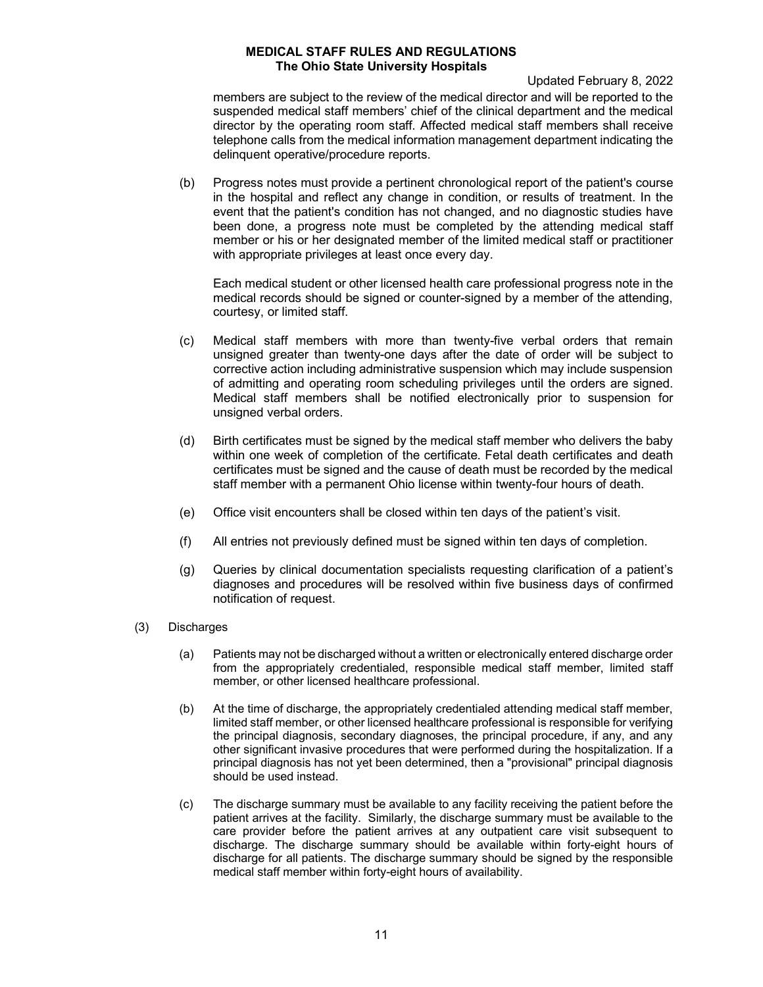Updated February 8, 2022

members are subject to the review of the medical director and will be reported to the suspended medical staff members' chief of the clinical department and the medical director by the operating room staff. Affected medical staff members shall receive telephone calls from the medical information management department indicating the delinquent operative/procedure reports.

(b) Progress notes must provide a pertinent chronological report of the patient's course in the hospital and reflect any change in condition, or results of treatment. In the event that the patient's condition has not changed, and no diagnostic studies have been done, a progress note must be completed by the attending medical staff member or his or her designated member of the limited medical staff or practitioner with appropriate privileges at least once every day.

Each medical student or other licensed health care professional progress note in the medical records should be signed or counter-signed by a member of the attending, courtesy, or limited staff.

- (c) Medical staff members with more than twenty-five verbal orders that remain unsigned greater than twenty-one days after the date of order will be subject to corrective action including administrative suspension which may include suspension of admitting and operating room scheduling privileges until the orders are signed. Medical staff members shall be notified electronically prior to suspension for unsigned verbal orders.
- (d) Birth certificates must be signed by the medical staff member who delivers the baby within one week of completion of the certificate. Fetal death certificates and death certificates must be signed and the cause of death must be recorded by the medical staff member with a permanent Ohio license within twenty-four hours of death.
- (e) Office visit encounters shall be closed within ten days of the patient's visit.
- (f) All entries not previously defined must be signed within ten days of completion.
- (g) Queries by clinical documentation specialists requesting clarification of a patient's diagnoses and procedures will be resolved within five business days of confirmed notification of request.
- (3) Discharges
	- (a) Patients may not be discharged without a written or electronically entered discharge order from the appropriately credentialed, responsible medical staff member, limited staff member, or other licensed healthcare professional.
	- (b) At the time of discharge, the appropriately credentialed attending medical staff member, limited staff member, or other licensed healthcare professional is responsible for verifying the principal diagnosis, secondary diagnoses, the principal procedure, if any, and any other significant invasive procedures that were performed during the hospitalization. If a principal diagnosis has not yet been determined, then a "provisional" principal diagnosis should be used instead.
	- (c) The discharge summary must be available to any facility receiving the patient before the patient arrives at the facility. Similarly, the discharge summary must be available to the care provider before the patient arrives at any outpatient care visit subsequent to discharge. The discharge summary should be available within forty-eight hours of discharge for all patients. The discharge summary should be signed by the responsible medical staff member within forty-eight hours of availability.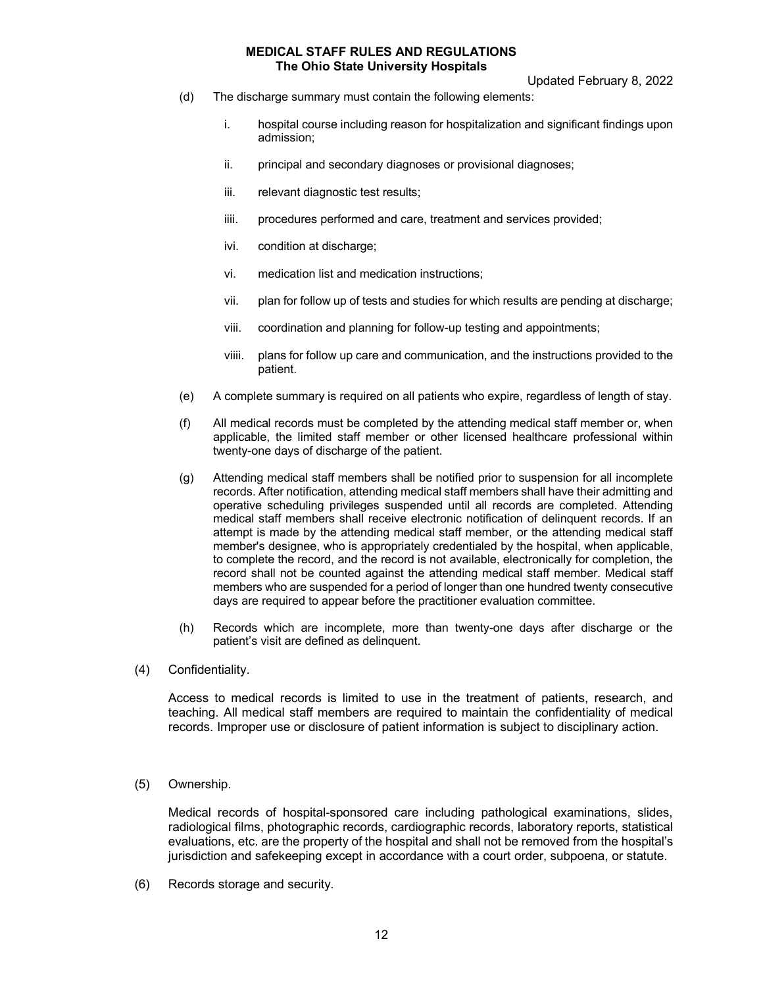Updated February 8, 2022

- (d) The discharge summary must contain the following elements:
	- i. hospital course including reason for hospitalization and significant findings upon admission;
	- ii. principal and secondary diagnoses or provisional diagnoses;
	- iii. relevant diagnostic test results;
	- iiii. procedures performed and care, treatment and services provided;
	- ivi. condition at discharge;
	- vi. medication list and medication instructions;
	- vii. plan for follow up of tests and studies for which results are pending at discharge;
	- viii. coordination and planning for follow-up testing and appointments;
	- viiii. plans for follow up care and communication, and the instructions provided to the patient.
- (e) A complete summary is required on all patients who expire, regardless of length of stay.
- (f) All medical records must be completed by the attending medical staff member or, when applicable, the limited staff member or other licensed healthcare professional within twenty-one days of discharge of the patient.
- (g) Attending medical staff members shall be notified prior to suspension for all incomplete records. After notification, attending medical staff members shall have their admitting and operative scheduling privileges suspended until all records are completed. Attending medical staff members shall receive electronic notification of delinquent records. If an attempt is made by the attending medical staff member, or the attending medical staff member's designee, who is appropriately credentialed by the hospital, when applicable, to complete the record, and the record is not available, electronically for completion, the record shall not be counted against the attending medical staff member. Medical staff members who are suspended for a period of longer than one hundred twenty consecutive days are required to appear before the practitioner evaluation committee.
- (h) Records which are incomplete, more than twenty-one days after discharge or the patient's visit are defined as delinquent.
- (4) Confidentiality.

Access to medical records is limited to use in the treatment of patients, research, and teaching. All medical staff members are required to maintain the confidentiality of medical records. Improper use or disclosure of patient information is subject to disciplinary action.

(5) Ownership.

Medical records of hospital-sponsored care including pathological examinations, slides, radiological films, photographic records, cardiographic records, laboratory reports, statistical evaluations, etc. are the property of the hospital and shall not be removed from the hospital's jurisdiction and safekeeping except in accordance with a court order, subpoena, or statute.

(6) Records storage and security.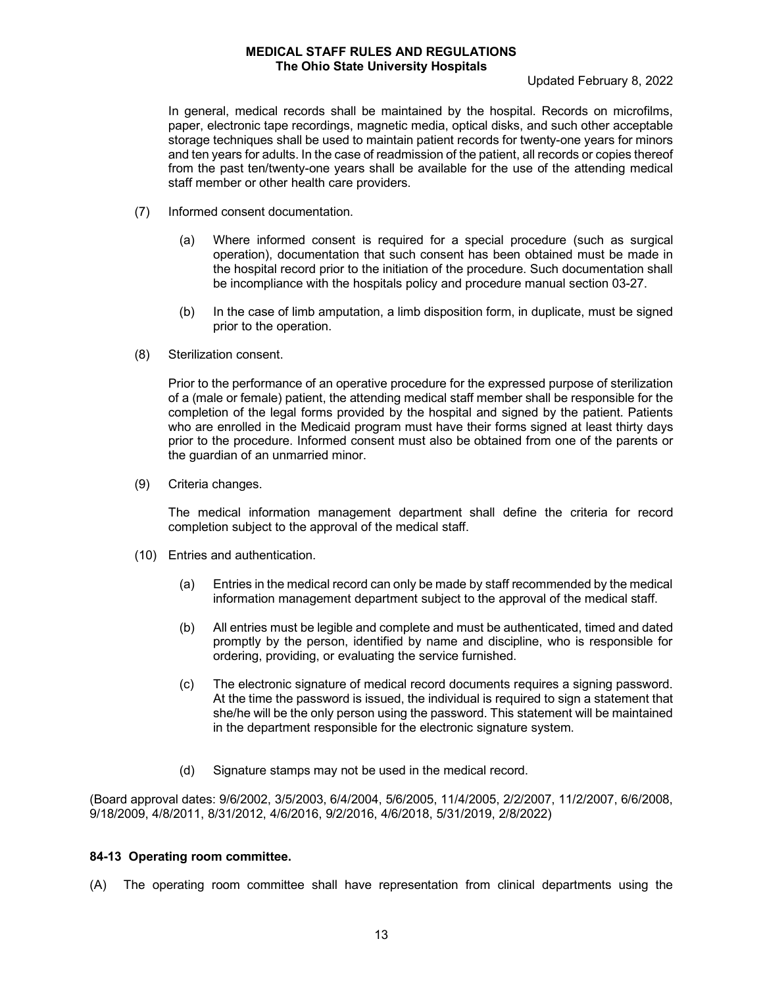#### Updated February 8, 2022

In general, medical records shall be maintained by the hospital. Records on microfilms, paper, electronic tape recordings, magnetic media, optical disks, and such other acceptable storage techniques shall be used to maintain patient records for twenty-one years for minors and ten years for adults. In the case of readmission of the patient, all records or copies thereof from the past ten/twenty-one years shall be available for the use of the attending medical staff member or other health care providers.

- (7) Informed consent documentation.
	- (a) Where informed consent is required for a special procedure (such as surgical operation), documentation that such consent has been obtained must be made in the hospital record prior to the initiation of the procedure. Such documentation shall be incompliance with the hospitals policy and procedure manual section 03-27.
	- (b) In the case of limb amputation, a limb disposition form, in duplicate, must be signed prior to the operation.
- (8) Sterilization consent.

Prior to the performance of an operative procedure for the expressed purpose of sterilization of a (male or female) patient, the attending medical staff member shall be responsible for the completion of the legal forms provided by the hospital and signed by the patient. Patients who are enrolled in the Medicaid program must have their forms signed at least thirty days prior to the procedure. Informed consent must also be obtained from one of the parents or the guardian of an unmarried minor.

(9) Criteria changes.

The medical information management department shall define the criteria for record completion subject to the approval of the medical staff.

- (10) Entries and authentication.
	- (a) Entries in the medical record can only be made by staff recommended by the medical information management department subject to the approval of the medical staff.
	- (b) All entries must be legible and complete and must be authenticated, timed and dated promptly by the person, identified by name and discipline, who is responsible for ordering, providing, or evaluating the service furnished.
	- (c) The electronic signature of medical record documents requires a signing password. At the time the password is issued, the individual is required to sign a statement that she/he will be the only person using the password. This statement will be maintained in the department responsible for the electronic signature system.
	- (d) Signature stamps may not be used in the medical record.

(Board approval dates: 9/6/2002, 3/5/2003, 6/4/2004, 5/6/2005, 11/4/2005, 2/2/2007, 11/2/2007, 6/6/2008, 9/18/2009, 4/8/2011, 8/31/2012, 4/6/2016, 9/2/2016, 4/6/2018, 5/31/2019, 2/8/2022)

### **84-13 Operating room committee.**

(A) The operating room committee shall have representation from clinical departments using the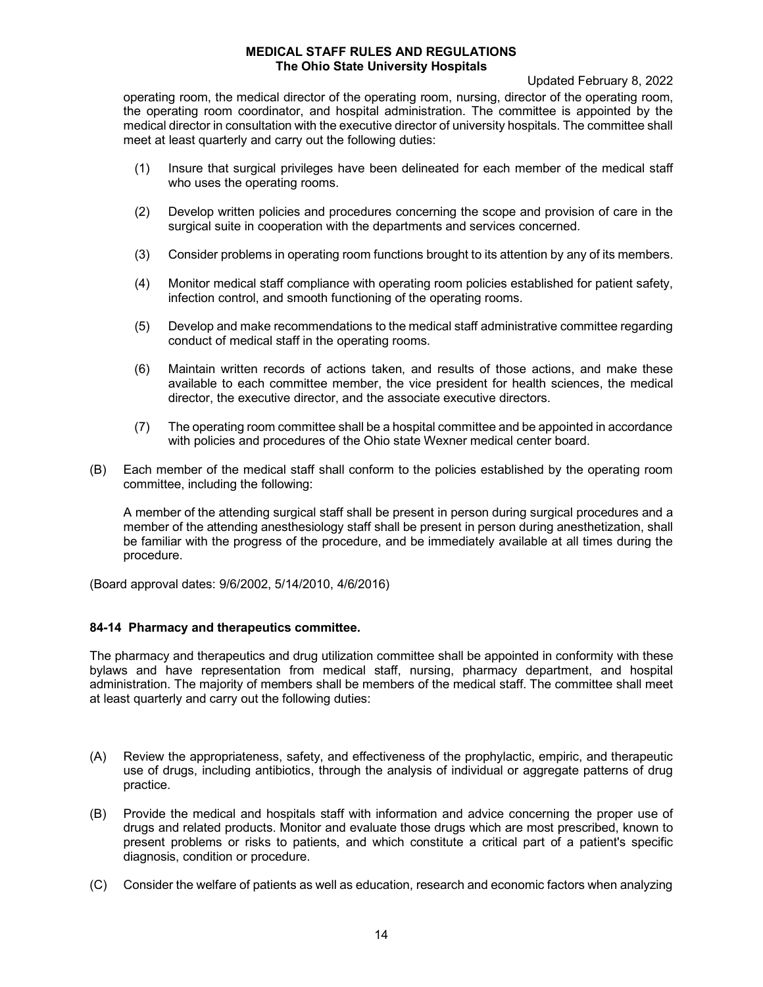Updated February 8, 2022

operating room, the medical director of the operating room, nursing, director of the operating room, the operating room coordinator, and hospital administration. The committee is appointed by the medical director in consultation with the executive director of university hospitals. The committee shall meet at least quarterly and carry out the following duties:

- (1) Insure that surgical privileges have been delineated for each member of the medical staff who uses the operating rooms.
- (2) Develop written policies and procedures concerning the scope and provision of care in the surgical suite in cooperation with the departments and services concerned.
- (3) Consider problems in operating room functions brought to its attention by any of its members.
- (4) Monitor medical staff compliance with operating room policies established for patient safety, infection control, and smooth functioning of the operating rooms.
- (5) Develop and make recommendations to the medical staff administrative committee regarding conduct of medical staff in the operating rooms.
- (6) Maintain written records of actions taken, and results of those actions, and make these available to each committee member, the vice president for health sciences, the medical director, the executive director, and the associate executive directors.
- (7) The operating room committee shall be a hospital committee and be appointed in accordance with policies and procedures of the Ohio state Wexner medical center board.
- (B) Each member of the medical staff shall conform to the policies established by the operating room committee, including the following:

A member of the attending surgical staff shall be present in person during surgical procedures and a member of the attending anesthesiology staff shall be present in person during anesthetization, shall be familiar with the progress of the procedure, and be immediately available at all times during the procedure.

(Board approval dates: 9/6/2002, 5/14/2010, 4/6/2016)

### **84-14 Pharmacy and therapeutics committee.**

The pharmacy and therapeutics and drug utilization committee shall be appointed in conformity with these bylaws and have representation from medical staff, nursing, pharmacy department, and hospital administration. The majority of members shall be members of the medical staff. The committee shall meet at least quarterly and carry out the following duties:

- (A) Review the appropriateness, safety, and effectiveness of the prophylactic, empiric, and therapeutic use of drugs, including antibiotics, through the analysis of individual or aggregate patterns of drug practice.
- (B) Provide the medical and hospitals staff with information and advice concerning the proper use of drugs and related products. Monitor and evaluate those drugs which are most prescribed, known to present problems or risks to patients, and which constitute a critical part of a patient's specific diagnosis, condition or procedure.
- (C) Consider the welfare of patients as well as education, research and economic factors when analyzing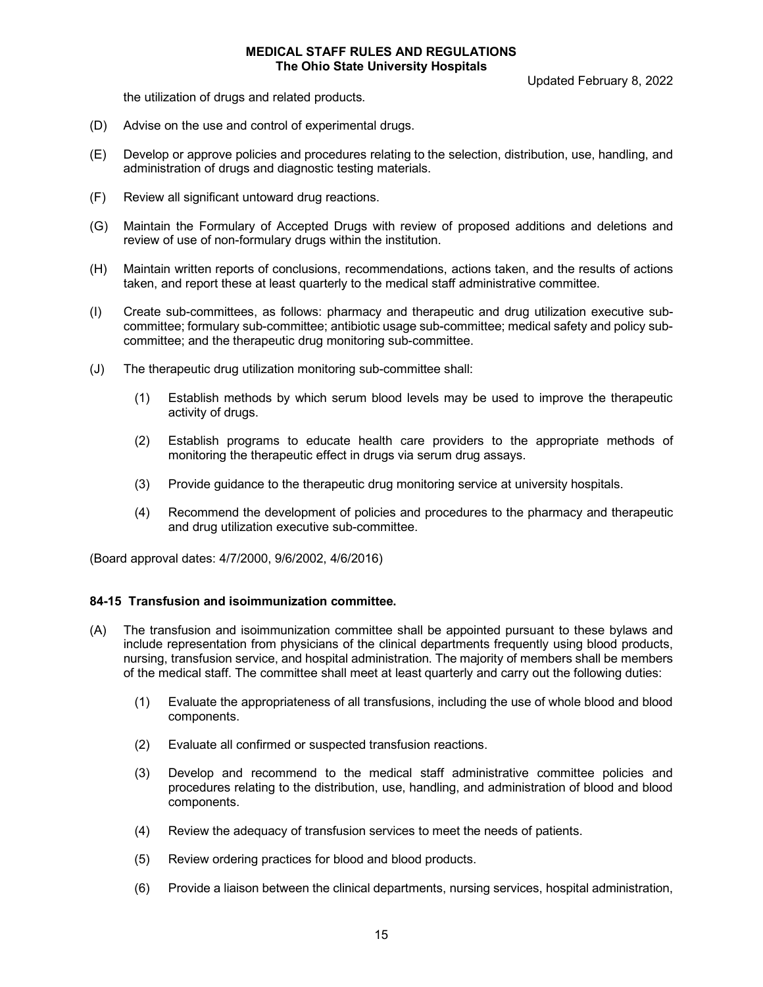Updated February 8, 2022

the utilization of drugs and related products.

- (D) Advise on the use and control of experimental drugs.
- (E) Develop or approve policies and procedures relating to the selection, distribution, use, handling, and administration of drugs and diagnostic testing materials.
- (F) Review all significant untoward drug reactions.
- (G) Maintain the Formulary of Accepted Drugs with review of proposed additions and deletions and review of use of non-formulary drugs within the institution.
- (H) Maintain written reports of conclusions, recommendations, actions taken, and the results of actions taken, and report these at least quarterly to the medical staff administrative committee.
- (I) Create sub-committees, as follows: pharmacy and therapeutic and drug utilization executive subcommittee; formulary sub-committee; antibiotic usage sub-committee; medical safety and policy subcommittee; and the therapeutic drug monitoring sub-committee.
- (J) The therapeutic drug utilization monitoring sub-committee shall:
	- (1) Establish methods by which serum blood levels may be used to improve the therapeutic activity of drugs.
	- (2) Establish programs to educate health care providers to the appropriate methods of monitoring the therapeutic effect in drugs via serum drug assays.
	- (3) Provide guidance to the therapeutic drug monitoring service at university hospitals.
	- (4) Recommend the development of policies and procedures to the pharmacy and therapeutic and drug utilization executive sub-committee.

(Board approval dates: 4/7/2000, 9/6/2002, 4/6/2016)

### **84-15 Transfusion and isoimmunization committee.**

- (A) The transfusion and isoimmunization committee shall be appointed pursuant to these bylaws and include representation from physicians of the clinical departments frequently using blood products, nursing, transfusion service, and hospital administration. The majority of members shall be members of the medical staff. The committee shall meet at least quarterly and carry out the following duties:
	- (1) Evaluate the appropriateness of all transfusions, including the use of whole blood and blood components.
	- (2) Evaluate all confirmed or suspected transfusion reactions.
	- (3) Develop and recommend to the medical staff administrative committee policies and procedures relating to the distribution, use, handling, and administration of blood and blood components.
	- (4) Review the adequacy of transfusion services to meet the needs of patients.
	- (5) Review ordering practices for blood and blood products.
	- (6) Provide a liaison between the clinical departments, nursing services, hospital administration,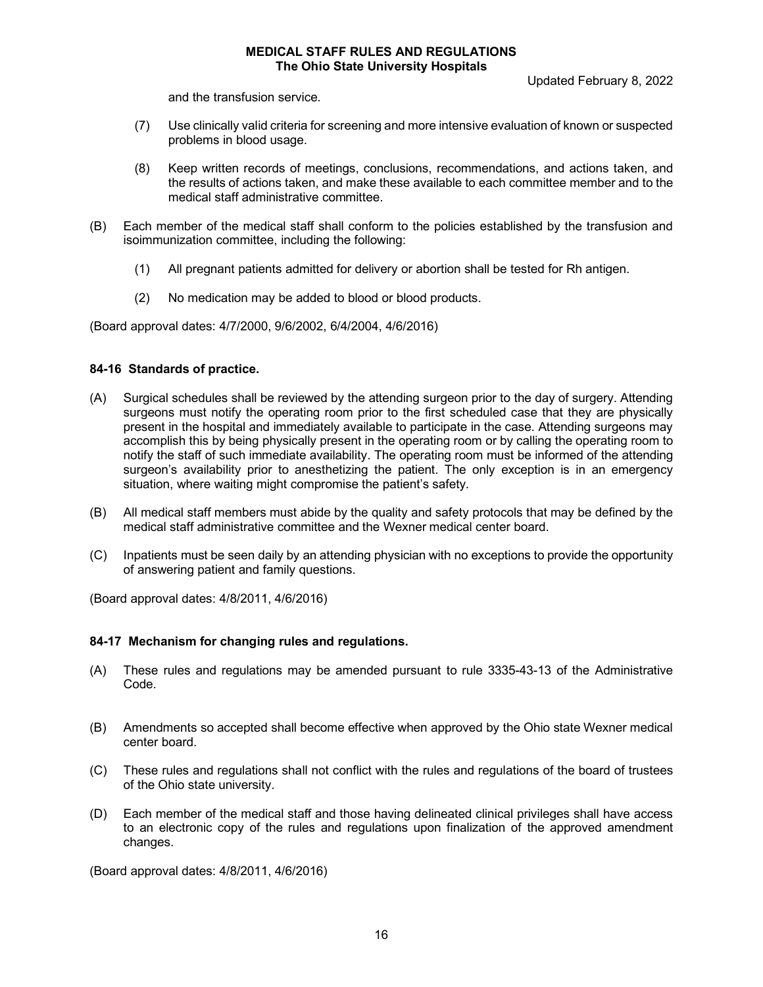Updated February 8, 2022

and the transfusion service.

- (7) Use clinically valid criteria for screening and more intensive evaluation of known or suspected problems in blood usage.
- (8) Keep written records of meetings, conclusions, recommendations, and actions taken, and the results of actions taken, and make these available to each committee member and to the medical staff administrative committee.
- (B) Each member of the medical staff shall conform to the policies established by the transfusion and isoimmunization committee, including the following:
	- (1) All pregnant patients admitted for delivery or abortion shall be tested for Rh antigen.
	- (2) No medication may be added to blood or blood products.

(Board approval dates: 4/7/2000, 9/6/2002, 6/4/2004, 4/6/2016)

# **84-16 Standards of practice.**

- (A) Surgical schedules shall be reviewed by the attending surgeon prior to the day of surgery. Attending surgeons must notify the operating room prior to the first scheduled case that they are physically present in the hospital and immediately available to participate in the case. Attending surgeons may accomplish this by being physically present in the operating room or by calling the operating room to notify the staff of such immediate availability. The operating room must be informed of the attending surgeon's availability prior to anesthetizing the patient. The only exception is in an emergency situation, where waiting might compromise the patient's safety.
- (B) All medical staff members must abide by the quality and safety protocols that may be defined by the medical staff administrative committee and the Wexner medical center board.
- (C) Inpatients must be seen daily by an attending physician with no exceptions to provide the opportunity of answering patient and family questions.

(Board approval dates: 4/8/2011, 4/6/2016)

# **84-17 Mechanism for changing rules and regulations.**

- (A) These rules and regulations may be amended pursuant to rule 3335-43-13 of the Administrative Code.
- (B) Amendments so accepted shall become effective when approved by the Ohio state Wexner medical center board.
- (C) These rules and regulations shall not conflict with the rules and regulations of the board of trustees of the Ohio state university.
- (D) Each member of the medical staff and those having delineated clinical privileges shall have access to an electronic copy of the rules and regulations upon finalization of the approved amendment changes.

(Board approval dates: 4/8/2011, 4/6/2016)